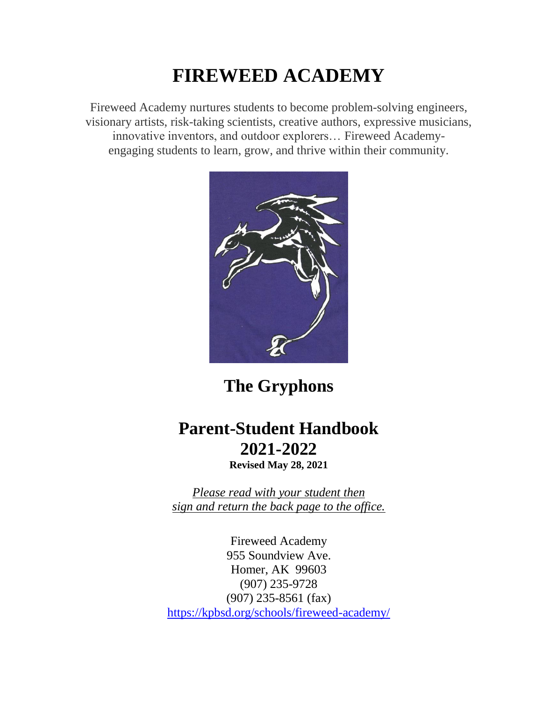# **FIREWEED ACADEMY**

Fireweed Academy nurtures students to become problem-solving engineers, visionary artists, risk-taking scientists, creative authors, expressive musicians, innovative inventors, and outdoor explorers… Fireweed Academyengaging students to learn, grow, and thrive within their community.



**The Gryphons**

# **Parent-Student Handbook 2021-2022**

**Revised May 28, 2021**

*Please read with your student then sign and return the back page to the office.* 

Fireweed Academy 955 Soundview Ave. Homer, AK 99603 (907) 235-9728 (907) 235-8561 (fax) <https://kpbsd.org/schools/fireweed-academy/>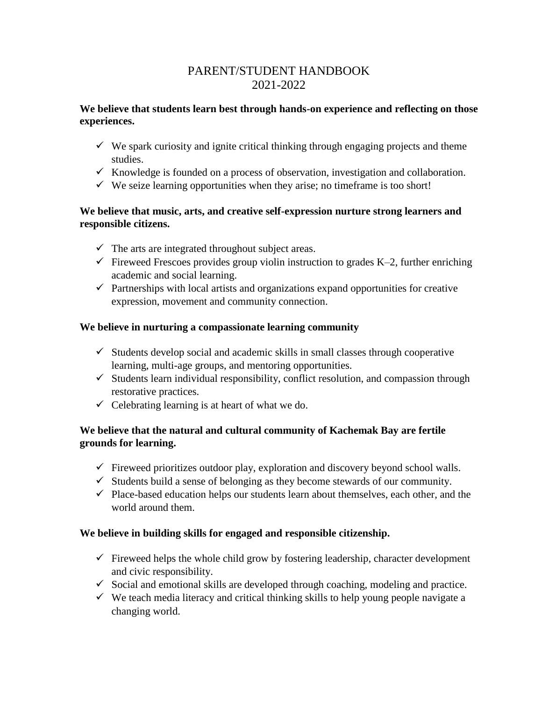# PARENT/STUDENT HANDBOOK 2021-2022

# **We believe that students learn best through hands-on experience and reflecting on those experiences.**

- $\checkmark$  We spark curiosity and ignite critical thinking through engaging projects and theme studies.
- $\checkmark$  Knowledge is founded on a process of observation, investigation and collaboration.
- $\checkmark$  We seize learning opportunities when they arise; no timeframe is too short!

# **We believe that music, arts, and creative self-expression nurture strong learners and responsible citizens.**

- $\checkmark$  The arts are integrated throughout subject areas.
- $\checkmark$  Fireweed Frescoes provides group violin instruction to grades K–2, further enriching academic and social learning.
- $\checkmark$  Partnerships with local artists and organizations expand opportunities for creative expression, movement and community connection.

# **We believe in nurturing a compassionate learning community**

- $\checkmark$  Students develop social and academic skills in small classes through cooperative learning, multi-age groups, and mentoring opportunities.
- $\checkmark$  Students learn individual responsibility, conflict resolution, and compassion through restorative practices.
- $\checkmark$  Celebrating learning is at heart of what we do.

# **We believe that the natural and cultural community of Kachemak Bay are fertile grounds for learning.**

- $\checkmark$  Fireweed prioritizes outdoor play, exploration and discovery beyond school walls.
- $\checkmark$  Students build a sense of belonging as they become stewards of our community.
- $\checkmark$  Place-based education helps our students learn about themselves, each other, and the world around them.

# **We believe in building skills for engaged and responsible citizenship.**

- $\checkmark$  Fireweed helps the whole child grow by fostering leadership, character development and civic responsibility.
- $\checkmark$  Social and emotional skills are developed through coaching, modeling and practice.
- $\checkmark$  We teach media literacy and critical thinking skills to help young people navigate a changing world.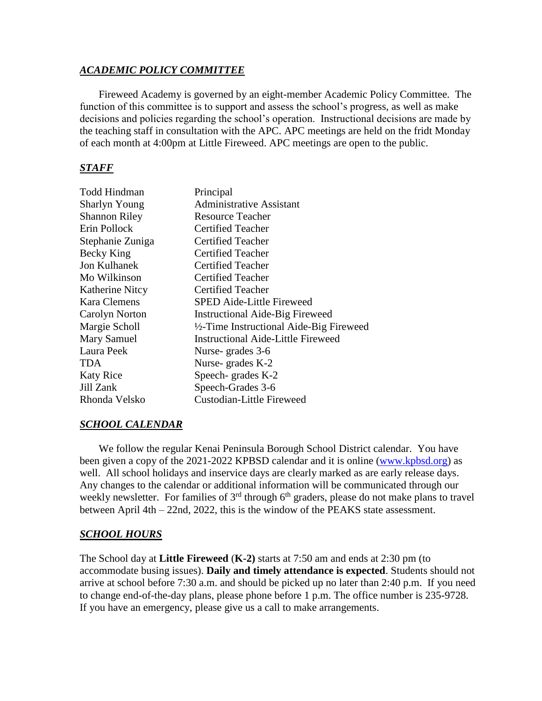## *ACADEMIC POLICY COMMITTEE*

Fireweed Academy is governed by an eight-member Academic Policy Committee. The function of this committee is to support and assess the school's progress, as well as make decisions and policies regarding the school's operation. Instructional decisions are made by the teaching staff in consultation with the APC. APC meetings are held on the fridt Monday of each month at 4:00pm at Little Fireweed. APC meetings are open to the public.

## *STAFF*

| Todd Hindman         | Principal                                 |
|----------------------|-------------------------------------------|
| <b>Sharlyn Young</b> | <b>Administrative Assistant</b>           |
| <b>Shannon Riley</b> | <b>Resource Teacher</b>                   |
| Erin Pollock         | Certified Teacher                         |
| Stephanie Zuniga     | <b>Certified Teacher</b>                  |
| Becky King           | <b>Certified Teacher</b>                  |
| <b>Jon Kulhanek</b>  | Certified Teacher                         |
| Mo Wilkinson         | <b>Certified Teacher</b>                  |
| Katherine Nitcy      | <b>Certified Teacher</b>                  |
| <b>Kara Clemens</b>  | <b>SPED Aide-Little Fireweed</b>          |
| Carolyn Norton       | <b>Instructional Aide-Big Fireweed</b>    |
| Margie Scholl        | 1/2-Time Instructional Aide-Big Fireweed  |
| Mary Samuel          | <b>Instructional Aide-Little Fireweed</b> |
| Laura Peek           | Nurse-grades 3-6                          |
| TDA                  | Nurse-grades K-2                          |
| <b>Katy Rice</b>     | Speech- grades K-2                        |
| Jill Zank            | Speech-Grades 3-6                         |
| Rhonda Velsko        | <b>Custodian-Little Fireweed</b>          |

#### *SCHOOL CALENDAR*

We follow the regular Kenai Peninsula Borough School District calendar. You have been given a copy of the 2021-2022 KPBSD calendar and it is online [\(www.kpbsd.org\)](http://www.kpbsd.org/) as well. All school holidays and inservice days are clearly marked as are early release days. Any changes to the calendar or additional information will be communicated through our weekly newsletter. For families of  $3<sup>rd</sup>$  through  $6<sup>th</sup>$  graders, please do not make plans to travel between April 4th – 22nd, 2022, this is the window of the PEAKS state assessment.

## *SCHOOL HOURS*

The School day at **Little Fireweed** (**K-2)** starts at 7:50 am and ends at 2:30 pm (to accommodate busing issues). **Daily and timely attendance is expected**. Students should not arrive at school before 7:30 a.m. and should be picked up no later than 2:40 p.m. If you need to change end-of-the-day plans, please phone before 1 p.m. The office number is 235-9728. If you have an emergency, please give us a call to make arrangements.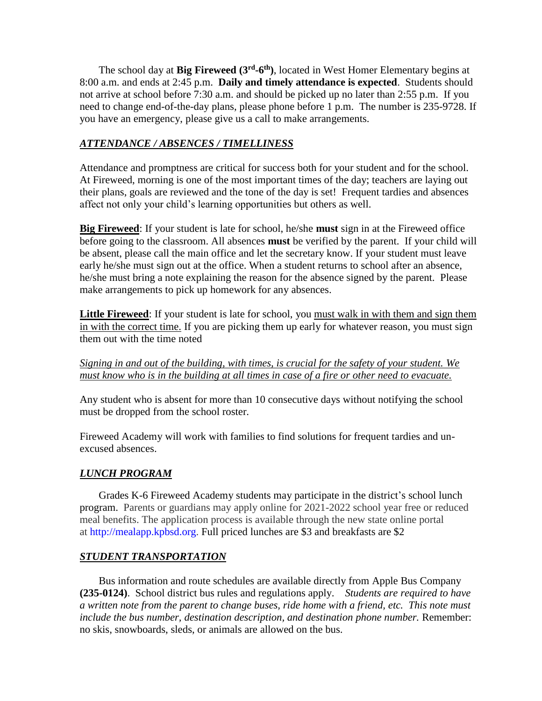The school day at **Big Fireweed** (3<sup>rd</sup>-6<sup>th</sup>), located in West Homer Elementary begins at 8:00 a.m. and ends at 2:45 p.m. **Daily and timely attendance is expected**. Students should not arrive at school before 7:30 a.m. and should be picked up no later than 2:55 p.m. If you need to change end-of-the-day plans, please phone before 1 p.m. The number is 235-9728. If you have an emergency, please give us a call to make arrangements.

# *ATTENDANCE / ABSENCES / TIMELLINESS*

Attendance and promptness are critical for success both for your student and for the school. At Fireweed, morning is one of the most important times of the day; teachers are laying out their plans, goals are reviewed and the tone of the day is set! Frequent tardies and absences affect not only your child's learning opportunities but others as well.

**Big Fireweed**: If your student is late for school, he/she **must** sign in at the Fireweed office before going to the classroom. All absences **must** be verified by the parent. If your child will be absent, please call the main office and let the secretary know. If your student must leave early he/she must sign out at the office. When a student returns to school after an absence, he/she must bring a note explaining the reason for the absence signed by the parent. Please make arrangements to pick up homework for any absences.

**Little Fireweed**: If your student is late for school, you must walk in with them and sign them in with the correct time. If you are picking them up early for whatever reason, you must sign them out with the time noted

*Signing in and out of the building, with times, is crucial for the safety of your student. We must know who is in the building at all times in case of a fire or other need to evacuate.* 

Any student who is absent for more than 10 consecutive days without notifying the school must be dropped from the school roster.

Fireweed Academy will work with families to find solutions for frequent tardies and unexcused absences.

# *LUNCH PROGRAM*

Grades K-6 Fireweed Academy students may participate in the district's school lunch program. Parents or guardians may apply online for 2021-2022 school year free or reduced meal benefits. The application process is available through the new state online portal at [http://mealapp.kpbsd.org.](http://mealapp.kpbsd.org/) Full priced lunches are \$3 and breakfasts are \$2

# *STUDENT TRANSPORTATION*

Bus information and route schedules are available directly from Apple Bus Company **(235-0124)**. School district bus rules and regulations apply. *Students are required to have a written note from the parent to change buses, ride home with a friend, etc. This note must include the bus number, destination description, and destination phone number.* Remember: no skis, snowboards, sleds, or animals are allowed on the bus.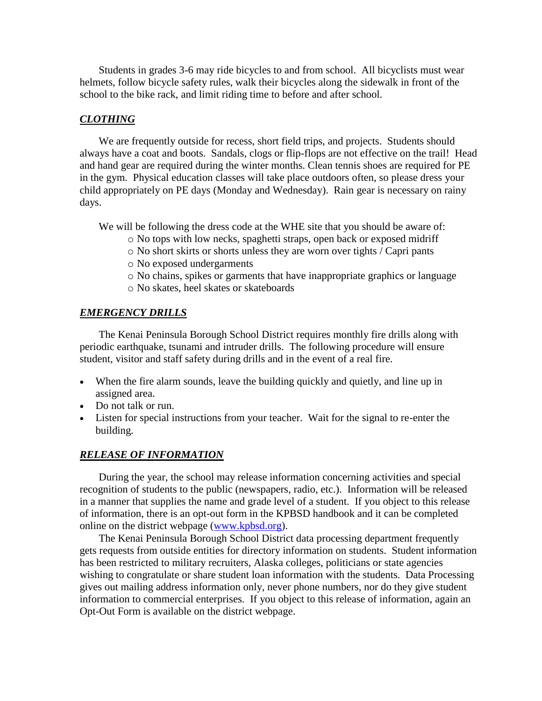Students in grades 3-6 may ride bicycles to and from school. All bicyclists must wear helmets, follow bicycle safety rules, walk their bicycles along the sidewalk in front of the school to the bike rack, and limit riding time to before and after school.

## *CLOTHING*

We are frequently outside for recess, short field trips, and projects. Students should always have a coat and boots. Sandals, clogs or flip-flops are not effective on the trail! Head and hand gear are required during the winter months. Clean tennis shoes are required for PE in the gym. Physical education classes will take place outdoors often, so please dress your child appropriately on PE days (Monday and Wednesday). Rain gear is necessary on rainy days.

We will be following the dress code at the WHE site that you should be aware of:

- o No tops with low necks, spaghetti straps, open back or exposed midriff
- o No short skirts or shorts unless they are worn over tights / Capri pants
- o No exposed undergarments
- o No chains, spikes or garments that have inappropriate graphics or language
- o No skates, heel skates or skateboards

## *EMERGENCY DRILLS*

The Kenai Peninsula Borough School District requires monthly fire drills along with periodic earthquake, tsunami and intruder drills. The following procedure will ensure student, visitor and staff safety during drills and in the event of a real fire.

- When the fire alarm sounds, leave the building quickly and quietly, and line up in assigned area.
- Do not talk or run.
- Listen for special instructions from your teacher. Wait for the signal to re-enter the building.

#### *RELEASE OF INFORMATION*

During the year, the school may release information concerning activities and special recognition of students to the public (newspapers, radio, etc.). Information will be released in a manner that supplies the name and grade level of a student. If you object to this release of information, there is an opt-out form in the KPBSD handbook and it can be completed online on the district webpage [\(www.kpbsd.org\)](http://www.kpbsd.org/).

The Kenai Peninsula Borough School District data processing department frequently gets requests from outside entities for directory information on students. Student information has been restricted to military recruiters, Alaska colleges, politicians or state agencies wishing to congratulate or share student loan information with the students. Data Processing gives out mailing address information only, never phone numbers, nor do they give student information to commercial enterprises. If you object to this release of information, again an Opt-Out Form is available on the district webpage.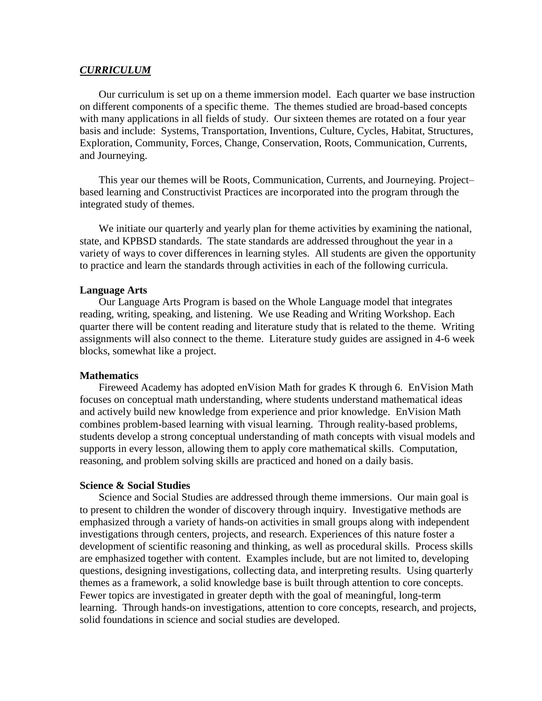#### *CURRICULUM*

Our curriculum is set up on a theme immersion model. Each quarter we base instruction on different components of a specific theme. The themes studied are broad-based concepts with many applications in all fields of study. Our sixteen themes are rotated on a four year basis and include: Systems, Transportation, Inventions, Culture, Cycles, Habitat, Structures, Exploration, Community, Forces, Change, Conservation, Roots, Communication, Currents, and Journeying.

This year our themes will be Roots, Communication, Currents, and Journeying. Project– based learning and Constructivist Practices are incorporated into the program through the integrated study of themes.

We initiate our quarterly and yearly plan for theme activities by examining the national, state, and KPBSD standards. The state standards are addressed throughout the year in a variety of ways to cover differences in learning styles. All students are given the opportunity to practice and learn the standards through activities in each of the following curricula.

#### **Language Arts**

Our Language Arts Program is based on the Whole Language model that integrates reading, writing, speaking, and listening. We use Reading and Writing Workshop. Each quarter there will be content reading and literature study that is related to the theme. Writing assignments will also connect to the theme. Literature study guides are assigned in 4-6 week blocks, somewhat like a project.

#### **Mathematics**

Fireweed Academy has adopted enVision Math for grades K through 6. EnVision Math focuses on conceptual math understanding, where students understand mathematical ideas and actively build new knowledge from experience and prior knowledge. EnVision Math combines problem-based learning with visual learning. Through reality-based problems, students develop a strong conceptual understanding of math concepts with visual models and supports in every lesson, allowing them to apply core mathematical skills. Computation, reasoning, and problem solving skills are practiced and honed on a daily basis.

#### **Science & Social Studies**

Science and Social Studies are addressed through theme immersions. Our main goal is to present to children the wonder of discovery through inquiry. Investigative methods are emphasized through a variety of hands-on activities in small groups along with independent investigations through centers, projects, and research. Experiences of this nature foster a development of scientific reasoning and thinking, as well as procedural skills. Process skills are emphasized together with content. Examples include, but are not limited to, developing questions, designing investigations, collecting data, and interpreting results. Using quarterly themes as a framework, a solid knowledge base is built through attention to core concepts. Fewer topics are investigated in greater depth with the goal of meaningful, long-term learning. Through hands-on investigations, attention to core concepts, research, and projects, solid foundations in science and social studies are developed.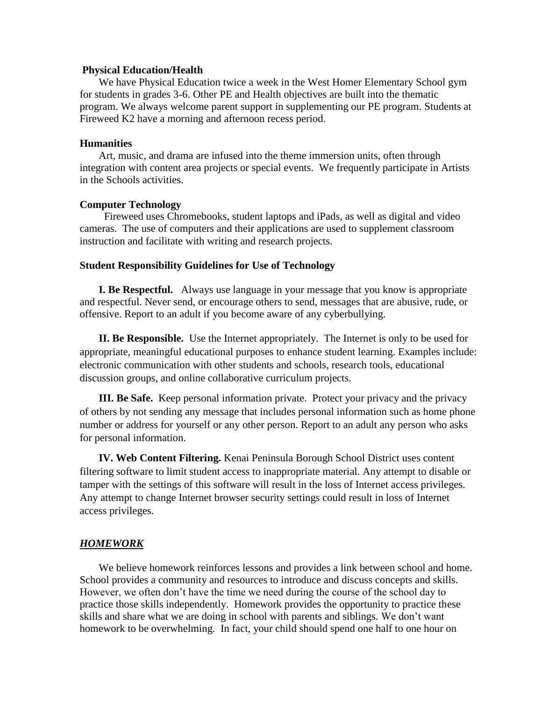#### **Physical Education/Health**

We have Physical Education twice a week in the West Homer Elementary School gym for students in grades 3-6. Other PE and Health objectives are built into the thematic program. We always welcome parent support in supplementing our PE program. Students at Fireweed K2 have a morning and afternoon recess period.

#### **Humanities**

Art, music, and drama are infused into the theme immersion units, often through integration with content area projects or special events. We frequently participate in Artists in the Schools activities.

#### **Computer Technology**

 Fireweed uses Chromebooks, student laptops and iPads, as well as digital and video cameras. The use of computers and their applications are used to supplement classroom instruction and facilitate with writing and research projects.

#### **Student Responsibility Guidelines for Use of Technology**

**I. Be Respectful.** Always use language in your message that you know is appropriate and respectful. Never send, or encourage others to send, messages that are abusive, rude, or offensive. Report to an adult if you become aware of any cyberbullying.

**II. Be Responsible.** Use the Internet appropriately. The Internet is only to be used for appropriate, meaningful educational purposes to enhance student learning. Examples include: electronic communication with other students and schools, research tools, educational discussion groups, and online collaborative curriculum projects.

**III. Be Safe.** Keep personal information private. Protect your privacy and the privacy of others by not sending any message that includes personal information such as home phone number or address for yourself or any other person. Report to an adult any person who asks for personal information.

**IV. Web Content Filtering.** Kenai Peninsula Borough School District uses content filtering software to limit student access to inappropriate material. Any attempt to disable or tamper with the settings of this software will result in the loss of Internet access privileges. Any attempt to change Internet browser security settings could result in loss of Internet access privileges.

#### *HOMEWORK*

We believe homework reinforces lessons and provides a link between school and home. School provides a community and resources to introduce and discuss concepts and skills. However, we often don't have the time we need during the course of the school day to practice those skills independently. Homework provides the opportunity to practice these skills and share what we are doing in school with parents and siblings. We don't want homework to be overwhelming. In fact, your child should spend one half to one hour on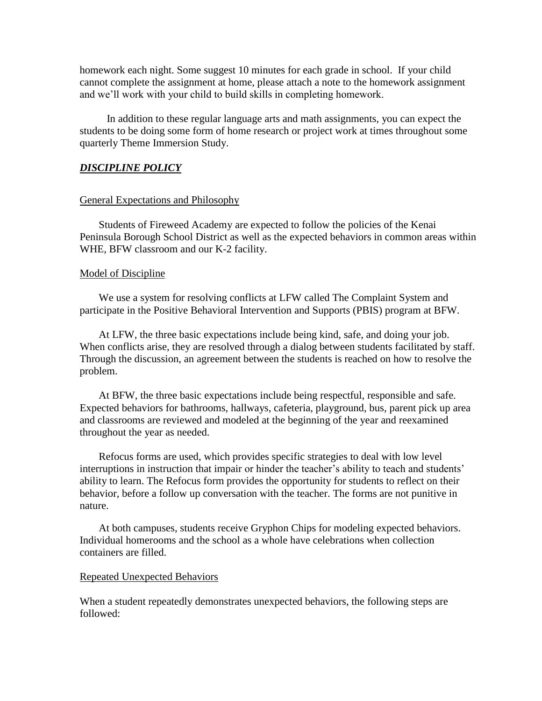homework each night. Some suggest 10 minutes for each grade in school. If your child cannot complete the assignment at home, please attach a note to the homework assignment and we'll work with your child to build skills in completing homework.

 In addition to these regular language arts and math assignments, you can expect the students to be doing some form of home research or project work at times throughout some quarterly Theme Immersion Study.

### *DISCIPLINE POLICY*

#### General Expectations and Philosophy

Students of Fireweed Academy are expected to follow the policies of the Kenai Peninsula Borough School District as well as the expected behaviors in common areas within WHE, BFW classroom and our K-2 facility.

#### Model of Discipline

We use a system for resolving conflicts at LFW called The Complaint System and participate in the Positive Behavioral Intervention and Supports (PBIS) program at BFW.

At LFW, the three basic expectations include being kind, safe, and doing your job. When conflicts arise, they are resolved through a dialog between students facilitated by staff. Through the discussion, an agreement between the students is reached on how to resolve the problem.

At BFW, the three basic expectations include being respectful, responsible and safe. Expected behaviors for bathrooms, hallways, cafeteria, playground, bus, parent pick up area and classrooms are reviewed and modeled at the beginning of the year and reexamined throughout the year as needed.

Refocus forms are used, which provides specific strategies to deal with low level interruptions in instruction that impair or hinder the teacher's ability to teach and students' ability to learn. The Refocus form provides the opportunity for students to reflect on their behavior, before a follow up conversation with the teacher. The forms are not punitive in nature.

At both campuses, students receive Gryphon Chips for modeling expected behaviors. Individual homerooms and the school as a whole have celebrations when collection containers are filled.

#### Repeated Unexpected Behaviors

When a student repeatedly demonstrates unexpected behaviors, the following steps are followed: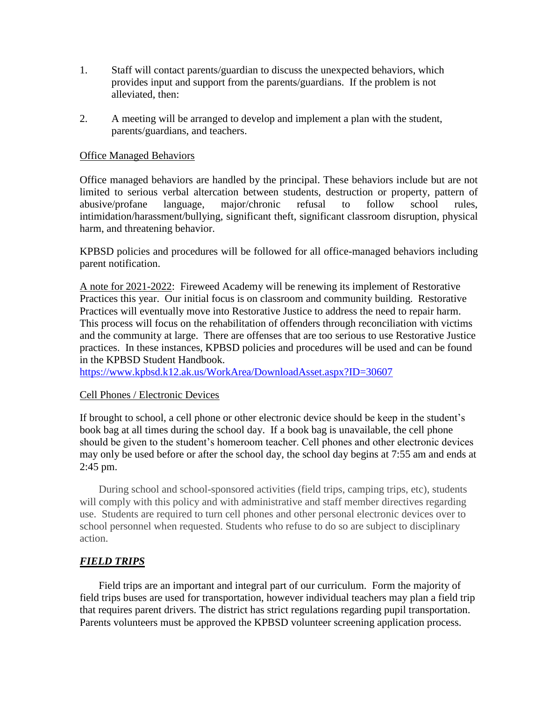- 1. Staff will contact parents/guardian to discuss the unexpected behaviors, which provides input and support from the parents/guardians. If the problem is not alleviated, then:
- 2. A meeting will be arranged to develop and implement a plan with the student, parents/guardians, and teachers.

## Office Managed Behaviors

Office managed behaviors are handled by the principal. These behaviors include but are not limited to serious verbal altercation between students, destruction or property, pattern of abusive/profane language, major/chronic refusal to follow school rules, intimidation/harassment/bullying, significant theft, significant classroom disruption, physical harm, and threatening behavior.

KPBSD policies and procedures will be followed for all office-managed behaviors including parent notification.

A note for 2021-2022: Fireweed Academy will be renewing its implement of Restorative Practices this year. Our initial focus is on classroom and community building. Restorative Practices will eventually move into Restorative Justice to address the need to repair harm. This process will focus on the rehabilitation of offenders through reconciliation with victims and the community at large. There are offenses that are too serious to use Restorative Justice practices. In these instances, KPBSD policies and procedures will be used and can be found in the KPBSD Student Handbook.

<https://www.kpbsd.k12.ak.us/WorkArea/DownloadAsset.aspx?ID=30607>

#### Cell Phones / Electronic Devices

If brought to school, a cell phone or other electronic device should be keep in the student's book bag at all times during the school day. If a book bag is unavailable, the cell phone should be given to the student's homeroom teacher. Cell phones and other electronic devices may only be used before or after the school day, the school day begins at 7:55 am and ends at 2:45 pm.

During school and school-sponsored activities (field trips, camping trips, etc), students will comply with this policy and with administrative and staff member directives regarding use. Students are required to turn cell phones and other personal electronic devices over to school personnel when requested. Students who refuse to do so are subject to disciplinary action.

# *FIELD TRIPS*

Field trips are an important and integral part of our curriculum. Form the majority of field trips buses are used for transportation, however individual teachers may plan a field trip that requires parent drivers. The district has strict regulations regarding pupil transportation. Parents volunteers must be approved the KPBSD volunteer screening application process.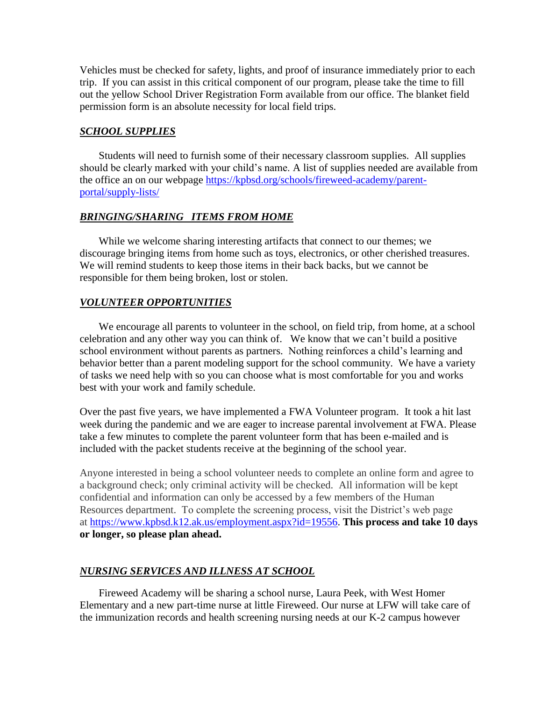Vehicles must be checked for safety, lights, and proof of insurance immediately prior to each trip. If you can assist in this critical component of our program, please take the time to fill out the yellow School Driver Registration Form available from our office. The blanket field permission form is an absolute necessity for local field trips.

## *SCHOOL SUPPLIES*

Students will need to furnish some of their necessary classroom supplies. All supplies should be clearly marked with your child's name. A list of supplies needed are available from the office an on our webpage [https://kpbsd.org/schools/fireweed-academy/parent](https://kpbsd.org/schools/fireweed-academy/parent-portal/supply-lists/)[portal/supply-lists/](https://kpbsd.org/schools/fireweed-academy/parent-portal/supply-lists/)

### *BRINGING/SHARING ITEMS FROM HOME*

While we welcome sharing interesting artifacts that connect to our themes; we discourage bringing items from home such as toys, electronics, or other cherished treasures. We will remind students to keep those items in their back backs, but we cannot be responsible for them being broken, lost or stolen.

## *VOLUNTEER OPPORTUNITIES*

We encourage all parents to volunteer in the school, on field trip, from home, at a school celebration and any other way you can think of. We know that we can't build a positive school environment without parents as partners. Nothing reinforces a child's learning and behavior better than a parent modeling support for the school community. We have a variety of tasks we need help with so you can choose what is most comfortable for you and works best with your work and family schedule.

Over the past five years, we have implemented a FWA Volunteer program. It took a hit last week during the pandemic and we are eager to increase parental involvement at FWA. Please take a few minutes to complete the parent volunteer form that has been e-mailed and is included with the packet students receive at the beginning of the school year.

Anyone interested in being a school volunteer needs to complete an online form and agree to a background check; only criminal activity will be checked. All information will be kept confidential and information can only be accessed by a few members of the Human Resources department. To complete the screening process, visit the District's web page at [https://www.kpbsd.k12.ak.us/employment.aspx?id=19556.](https://www.kpbsd.k12.ak.us/employment.aspx?id=19556) **This process and take 10 days or longer, so please plan ahead.**

## *NURSING SERVICES AND ILLNESS AT SCHOOL*

Fireweed Academy will be sharing a school nurse, Laura Peek, with West Homer Elementary and a new part-time nurse at little Fireweed. Our nurse at LFW will take care of the immunization records and health screening nursing needs at our K-2 campus however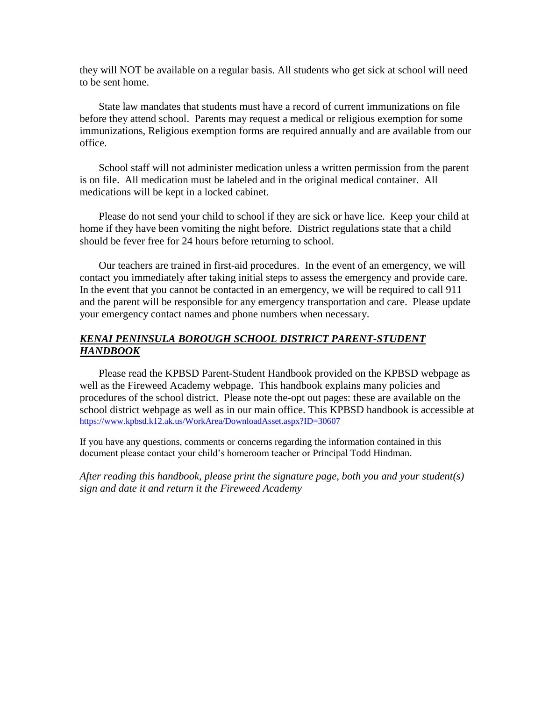they will NOT be available on a regular basis. All students who get sick at school will need to be sent home.

State law mandates that students must have a record of current immunizations on file before they attend school. Parents may request a medical or religious exemption for some immunizations, Religious exemption forms are required annually and are available from our office.

School staff will not administer medication unless a written permission from the parent is on file. All medication must be labeled and in the original medical container. All medications will be kept in a locked cabinet.

Please do not send your child to school if they are sick or have lice. Keep your child at home if they have been vomiting the night before. District regulations state that a child should be fever free for 24 hours before returning to school.

Our teachers are trained in first-aid procedures. In the event of an emergency, we will contact you immediately after taking initial steps to assess the emergency and provide care. In the event that you cannot be contacted in an emergency, we will be required to call 911 and the parent will be responsible for any emergency transportation and care. Please update your emergency contact names and phone numbers when necessary.

## *KENAI PENINSULA BOROUGH SCHOOL DISTRICT PARENT-STUDENT HANDBOOK*

Please read the KPBSD Parent-Student Handbook provided on the KPBSD webpage as well as the Fireweed Academy webpage. This handbook explains many policies and procedures of the school district. Please note the-opt out pages: these are available on the school district webpage as well as in our main office. This KPBSD handbook is accessible at <https://www.kpbsd.k12.ak.us/WorkArea/DownloadAsset.aspx?ID=30607>

If you have any questions, comments or concerns regarding the information contained in this document please contact your child's homeroom teacher or Principal Todd Hindman.

*After reading this handbook, please print the signature page, both you and your student(s) sign and date it and return it the Fireweed Academy*